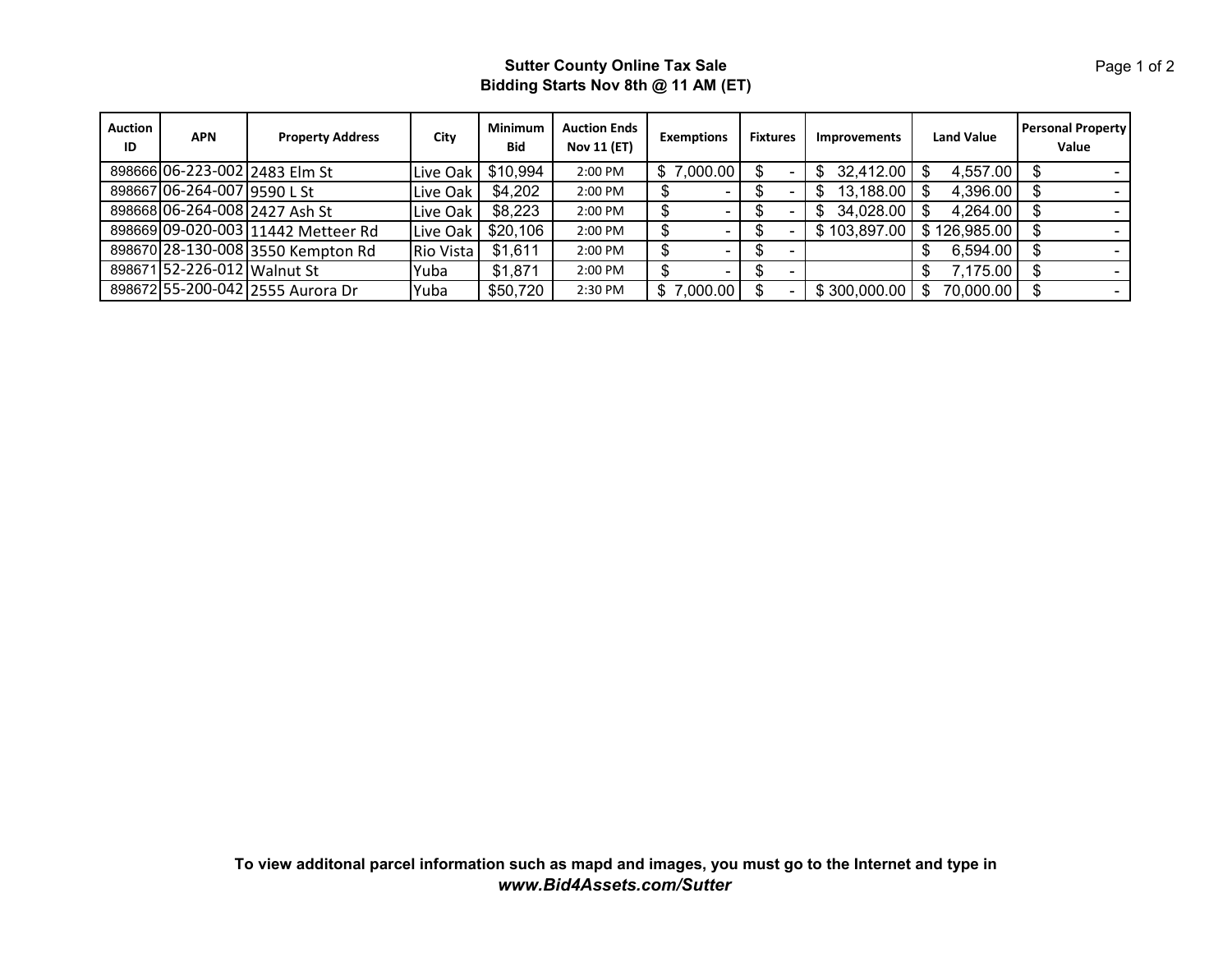## **Sutter County Online Tax Sale Bidding Starts Nov 8th @ 11 AM (ET)**

| <b>Auction</b><br>ID | <b>APN</b>                  | <b>Property Address</b>            | City             | Minimum<br><b>Bid</b> | <b>Auction Ends</b><br><b>Nov 11 (ET)</b> | <b>Exemptions</b> | <b>Fixtures</b> | <b>Improvements</b> | <b>Land Value</b> | <b>Personal Property</b><br>Value |
|----------------------|-----------------------------|------------------------------------|------------------|-----------------------|-------------------------------------------|-------------------|-----------------|---------------------|-------------------|-----------------------------------|
|                      |                             | 898666 06-223-002 2483 Elm St      | Live Oak         | \$10,994              | 2:00 PM                                   | \$7,000.00        |                 | 32,412.00<br>\$.    | 4,557.00          |                                   |
|                      | 898667 06-264-007 9590 L St |                                    | Live Oak         | \$4,202               | 2:00 PM                                   | -                 |                 | 13,188.00           | 4,396.00          |                                   |
|                      |                             | 898668 06-264-008 2427 Ash St      | Live Oak         | \$8,223               | 2:00 PM                                   |                   |                 | 34,028.00<br>S      | 4,264.00          |                                   |
|                      |                             | 898669 09-020-003 11442 Metteer Rd | Live Oak         | \$20,106              | 2:00 PM                                   | -                 |                 | \$103,897.00        | \$126,985.00      |                                   |
|                      |                             | 898670 28-130-008 3550 Kempton Rd  | <b>Rio Vista</b> | \$1,611               | 2:00 PM                                   | -                 |                 |                     | 6,594.00          |                                   |
|                      | 898671 52-226-012 Walnut St |                                    | Yuba             | \$1,871               | 2:00 PM                                   |                   |                 |                     | 7,175.00          |                                   |
|                      |                             | 898672 55-200-042 2555 Aurora Dr   | Yuba             | \$50,720              | 2:30 PM                                   | \$7,000.00        |                 | \$300,000.00        | 70,000.00         |                                   |